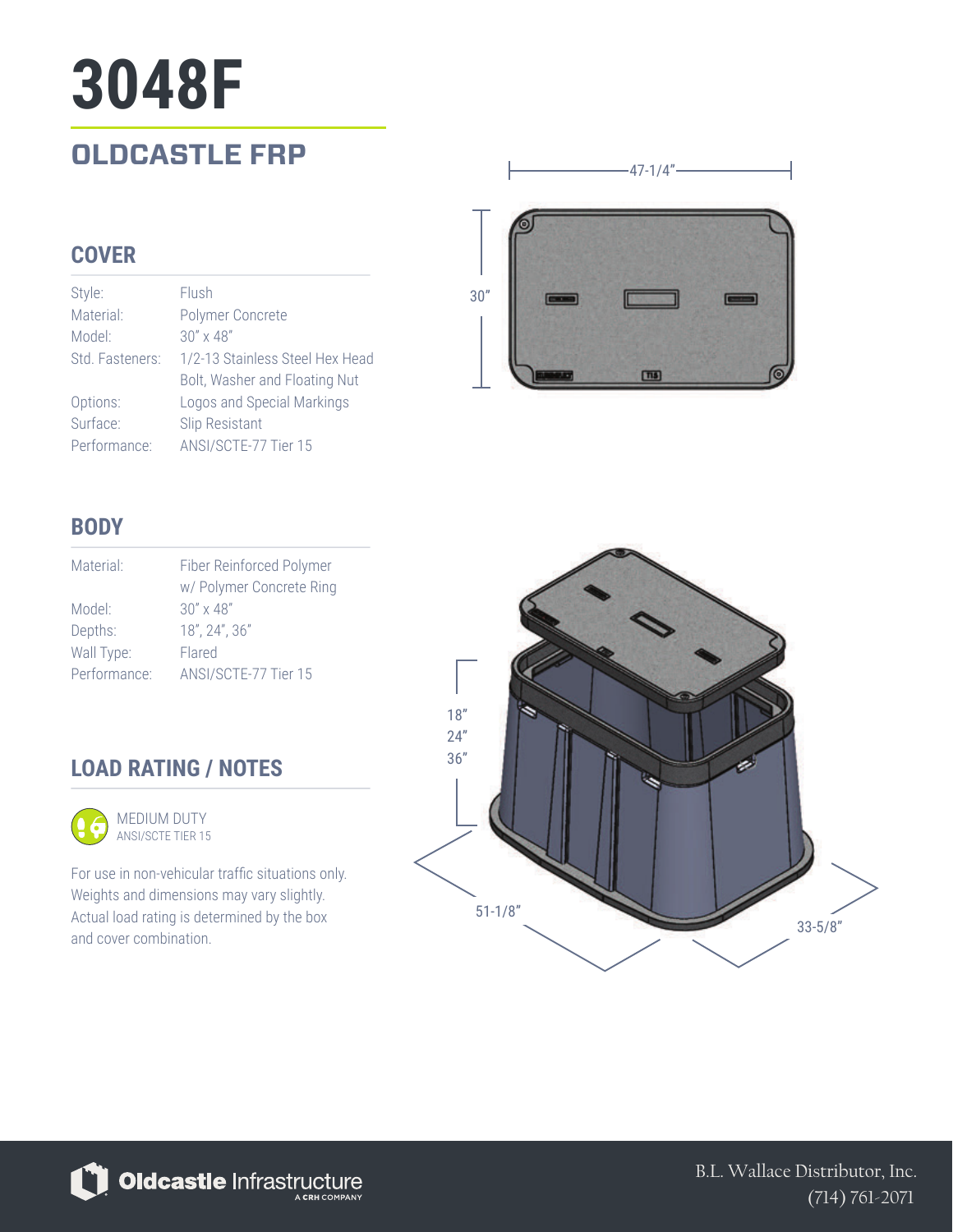# **3048F**

### **OLDCASTLE FRP**

#### **COVER**

| Style:          | Flush                           |
|-----------------|---------------------------------|
| Material:       | Polymer Concrete                |
| Model:          | $30'' \times 48''$              |
| Std. Fasteners: | 1/2-13 Stainless Steel Hex Head |
|                 | Bolt, Washer and Floating Nut   |
| Options:        | Logos and Special Markings      |
| Surface:        | Slip Resistant                  |
| Performance:    | ANSI/SCTE-77 Tier 15            |



 $-47-1/4"$ 

#### **BODY**

| Material:    | Fiber Reinforced Polymer |
|--------------|--------------------------|
|              | w/ Polymer Concrete Ring |
| Model:       | $30'' \times 48''$       |
| Depths:      | 18", 24", 36"            |
| Wall Type:   | Flared                   |
| Performance: | ANSI/SCTE-77 Tier 15     |

#### **LOAD RATING / NOTES**



For use in non-vehicular traffic situations only. Weights and dimensions may vary slightly. Actual load rating is determined by the box and cover combination.





B.L. Wallace Distributor, Inc. (714) 761-2071